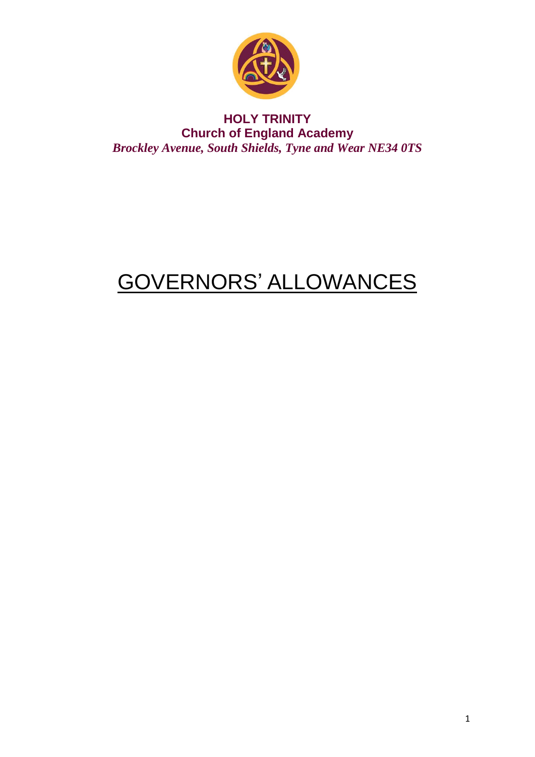

### **HOLY TRINITY Church of England Academy Brockley Avenue, South Shields, Tyne and Wear NE34 0TS**

# **GOVERNORS' ALLOWANCES**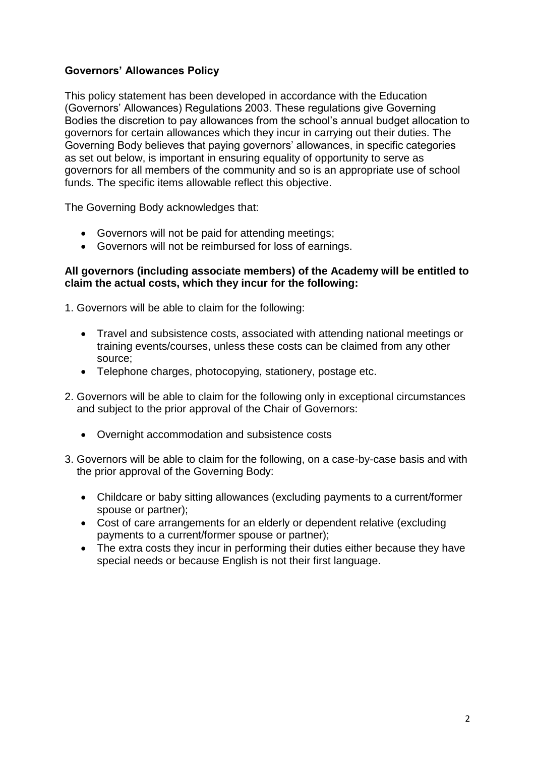#### **Governors' Allowances Policy**

This policy statement has been developed in accordance with the Education (Governors' Allowances) Regulations 2003. These regulations give Governing Bodies the discretion to pay allowances from the school's annual budget allocation to governors for certain allowances which they incur in carrying out their duties. The Governing Body believes that paying governors' allowances, in specific categories as set out below, is important in ensuring equality of opportunity to serve as governors for all members of the community and so is an appropriate use of school funds. The specific items allowable reflect this objective.

The Governing Body acknowledges that:

- Governors will not be paid for attending meetings;
- Governors will not be reimbursed for loss of earnings.

#### **All governors (including associate members) of the Academy will be entitled to claim the actual costs, which they incur for the following:**

1. Governors will be able to claim for the following:

- Travel and subsistence costs, associated with attending national meetings or training events/courses, unless these costs can be claimed from any other source;
- Telephone charges, photocopying, stationery, postage etc.
- 2. Governors will be able to claim for the following only in exceptional circumstances and subject to the prior approval of the Chair of Governors:
	- Overnight accommodation and subsistence costs
- 3. Governors will be able to claim for the following, on a case-by-case basis and with the prior approval of the Governing Body:
	- Childcare or baby sitting allowances (excluding payments to a current/former spouse or partner);
	- Cost of care arrangements for an elderly or dependent relative (excluding payments to a current/former spouse or partner);
	- The extra costs they incur in performing their duties either because they have special needs or because English is not their first language.